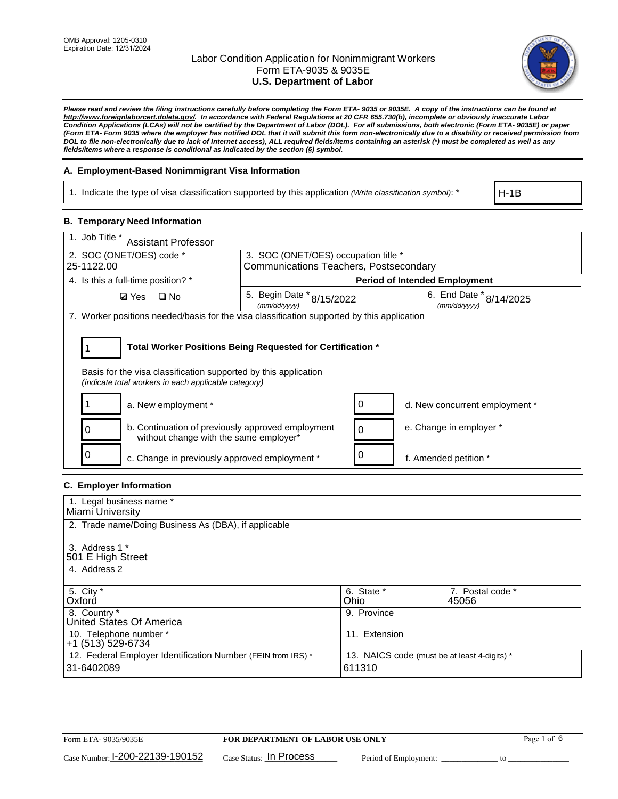

*Please read and review the filing instructions carefully before completing the Form ETA- 9035 or 9035E. A copy of the instructions can be found at [http://www.foreignlaborcert.doleta.gov/.](http://www.foreignlaborcert.doleta.gov/) In accordance with Federal Regulations at 20 CFR 655.730(b), incomplete or obviously inaccurate Labor Condition Applications (LCAs) will not be certified by the Department of Labor (DOL). For all submissions, both electronic (Form ETA- 9035E) or paper (Form ETA- Form 9035 where the employer has notified DOL that it will submit this form non-electronically due to a disability or received permission from DOL to file non-electronically due to lack of Internet access), ALL required fields/items containing an asterisk (\*) must be completed as well as any fields/items where a response is conditional as indicated by the section (§) symbol.* 

#### **A. Employment-Based Nonimmigrant Visa Information**

1. Indicate the type of visa classification supported by this application *(Write classification symbol)*: \*

H-1B

#### **B. Temporary Need Information**

| 1. Job Title *<br><b>Assistant Professor</b>                                                                                                                                          |                                               |          |                                             |  |  |  |
|---------------------------------------------------------------------------------------------------------------------------------------------------------------------------------------|-----------------------------------------------|----------|---------------------------------------------|--|--|--|
| 2. SOC (ONET/OES) code *<br>3. SOC (ONET/OES) occupation title *                                                                                                                      |                                               |          |                                             |  |  |  |
| 25-1122.00                                                                                                                                                                            | <b>Communications Teachers, Postsecondary</b> |          |                                             |  |  |  |
| 4. Is this a full-time position? *                                                                                                                                                    | <b>Period of Intended Employment</b>          |          |                                             |  |  |  |
| <b>Ø</b> Yes<br>$\Box$ No                                                                                                                                                             | 5. Begin Date $*_{8/15/2022}$<br>(mm/dd/yyyy) |          | 6. End Date $*_{8/14/2025}$<br>(mm/dd/yyyy) |  |  |  |
| 7. Worker positions needed/basis for the visa classification supported by this application                                                                                            |                                               |          |                                             |  |  |  |
| Total Worker Positions Being Requested for Certification *<br>Basis for the visa classification supported by this application<br>(indicate total workers in each applicable category) |                                               |          |                                             |  |  |  |
| a. New employment *                                                                                                                                                                   |                                               | 0        | d. New concurrent employment *              |  |  |  |
| b. Continuation of previously approved employment<br>0<br>without change with the same employer*                                                                                      |                                               | $\Omega$ | e. Change in employer *                     |  |  |  |
| 0<br>c. Change in previously approved employment *                                                                                                                                    |                                               | 0        | f. Amended petition *                       |  |  |  |

## **C. Employer Information**

| 1. Legal business name *                                     |                                              |                  |
|--------------------------------------------------------------|----------------------------------------------|------------------|
| Miami University                                             |                                              |                  |
| 2. Trade name/Doing Business As (DBA), if applicable         |                                              |                  |
|                                                              |                                              |                  |
| 3. Address 1 *                                               |                                              |                  |
| 501 E High Street                                            |                                              |                  |
| 4. Address 2                                                 |                                              |                  |
|                                                              |                                              |                  |
| 5. City *                                                    | 6. State *                                   | 7. Postal code * |
| Oxford                                                       | Ohio                                         | 45056            |
| 8. Country *                                                 | 9. Province                                  |                  |
| United States Of America                                     |                                              |                  |
| 10. Telephone number *                                       | 11. Extension                                |                  |
| +1 (513) 529-6734                                            |                                              |                  |
| 12. Federal Employer Identification Number (FEIN from IRS) * | 13. NAICS code (must be at least 4-digits) * |                  |
| 31-6402089                                                   | 611310                                       |                  |
|                                                              |                                              |                  |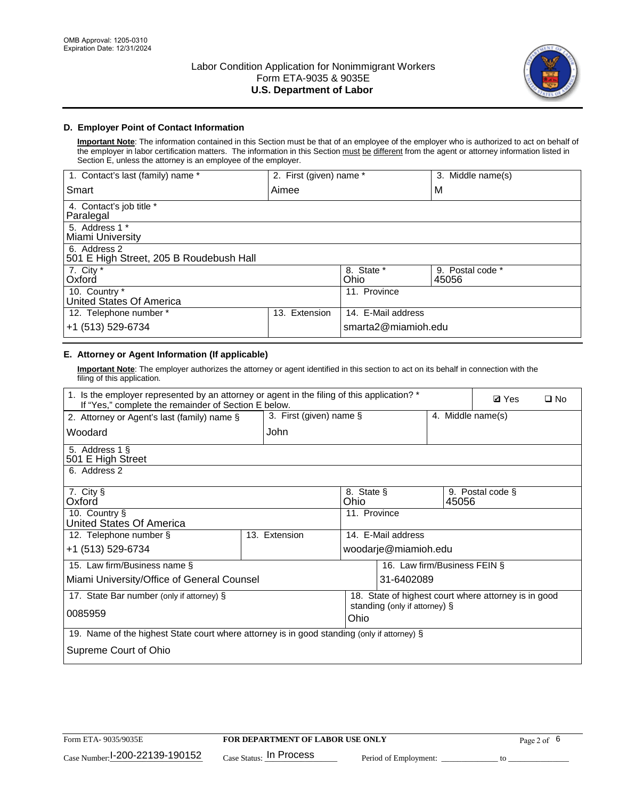

## **D. Employer Point of Contact Information**

**Important Note**: The information contained in this Section must be that of an employee of the employer who is authorized to act on behalf of the employer in labor certification matters. The information in this Section must be different from the agent or attorney information listed in Section E, unless the attorney is an employee of the employer.

| 1. Contact's last (family) name *                       | 2. First (given) name * |                     | 3. Middle name(s)         |
|---------------------------------------------------------|-------------------------|---------------------|---------------------------|
| Smart                                                   | Aimee                   |                     | M                         |
| 4. Contact's job title *<br>Paralegal                   |                         |                     |                           |
| 5. Address 1 *<br>Miami University                      |                         |                     |                           |
| 6. Address 2<br>501 E High Street, 205 B Roudebush Hall |                         |                     |                           |
| 7. City *<br>Oxford                                     |                         | 8. State *<br>Ohio  | 9. Postal code *<br>45056 |
| 10. Country *<br>United States Of America               |                         | 11. Province        |                           |
| 12. Telephone number *                                  | Extension<br>13.        | 14. E-Mail address  |                           |
| +1 (513) 529-6734                                       |                         | smarta2@miamioh.edu |                           |

## **E. Attorney or Agent Information (If applicable)**

**Important Note**: The employer authorizes the attorney or agent identified in this section to act on its behalf in connection with the filing of this application.

| 1. Is the employer represented by an attorney or agent in the filing of this application? *<br>If "Yes," complete the remainder of Section E below. |                                                                                             |                    |                                                      |       | <b>Ø</b> Yes      | $\Box$ No |
|-----------------------------------------------------------------------------------------------------------------------------------------------------|---------------------------------------------------------------------------------------------|--------------------|------------------------------------------------------|-------|-------------------|-----------|
| 3. First (given) name §<br>2. Attorney or Agent's last (family) name §                                                                              |                                                                                             |                    |                                                      |       | 4. Middle name(s) |           |
| Woodard                                                                                                                                             | John                                                                                        |                    |                                                      |       |                   |           |
| 5. Address 1 §<br>501 E High Street                                                                                                                 |                                                                                             |                    |                                                      |       |                   |           |
| 6. Address 2                                                                                                                                        |                                                                                             |                    |                                                      |       |                   |           |
| 7. City §<br>Oxford                                                                                                                                 |                                                                                             | 8. State §<br>Ohio |                                                      | 45056 | 9. Postal code §  |           |
| 10. Country §<br>United States Of America                                                                                                           |                                                                                             | 11. Province       |                                                      |       |                   |           |
| 12. Telephone number §                                                                                                                              | 13. Extension                                                                               |                    | 14. E-Mail address                                   |       |                   |           |
| +1 (513) 529-6734                                                                                                                                   |                                                                                             |                    | woodarje@miamioh.edu                                 |       |                   |           |
| 15. Law firm/Business name §                                                                                                                        |                                                                                             |                    | 16. Law firm/Business FEIN §                         |       |                   |           |
| Miami University/Office of General Counsel                                                                                                          |                                                                                             |                    | 31-6402089                                           |       |                   |           |
| 17. State Bar number (only if attorney) §                                                                                                           |                                                                                             |                    | 18. State of highest court where attorney is in good |       |                   |           |
| 0085959                                                                                                                                             |                                                                                             | Ohio               | standing (only if attorney) §                        |       |                   |           |
|                                                                                                                                                     | 19. Name of the highest State court where attorney is in good standing (only if attorney) § |                    |                                                      |       |                   |           |
| Supreme Court of Ohio                                                                                                                               |                                                                                             |                    |                                                      |       |                   |           |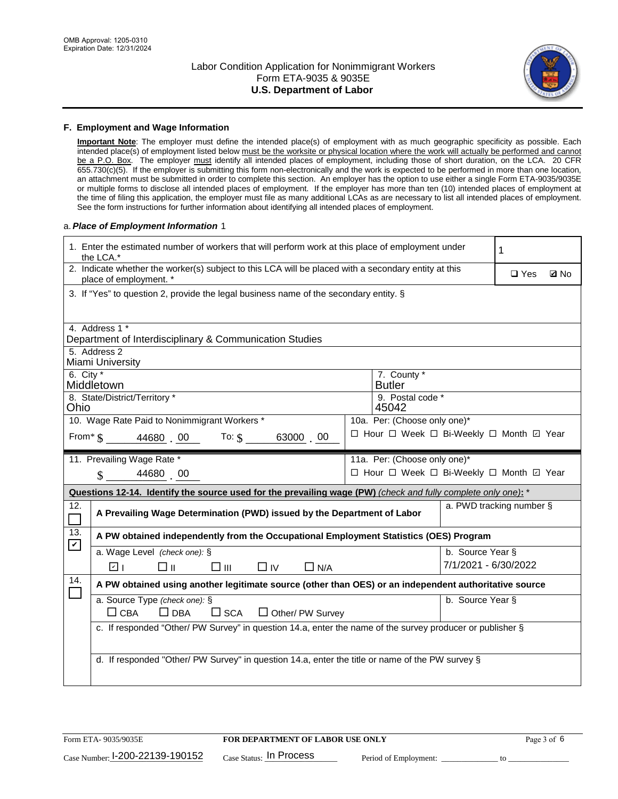

#### **F. Employment and Wage Information**

**Important Note**: The employer must define the intended place(s) of employment with as much geographic specificity as possible. Each intended place(s) of employment listed below must be the worksite or physical location where the work will actually be performed and cannot be a P.O. Box. The employer must identify all intended places of employment, including those of short duration, on the LCA. 20 CFR 655.730(c)(5). If the employer is submitting this form non-electronically and the work is expected to be performed in more than one location, an attachment must be submitted in order to complete this section. An employer has the option to use either a single Form ETA-9035/9035E or multiple forms to disclose all intended places of employment. If the employer has more than ten (10) intended places of employment at the time of filing this application, the employer must file as many additional LCAs as are necessary to list all intended places of employment. See the form instructions for further information about identifying all intended places of employment.

#### a.*Place of Employment Information* 1

|                                                                                                          | 1. Enter the estimated number of workers that will perform work at this place of employment under<br>the LCA.*                 |  | 1                                        |                      |  |             |  |  |
|----------------------------------------------------------------------------------------------------------|--------------------------------------------------------------------------------------------------------------------------------|--|------------------------------------------|----------------------|--|-------------|--|--|
|                                                                                                          | 2. Indicate whether the worker(s) subject to this LCA will be placed with a secondary entity at this<br>place of employment. * |  |                                          |                      |  | <b>Ø</b> No |  |  |
|                                                                                                          | 3. If "Yes" to question 2, provide the legal business name of the secondary entity. §                                          |  |                                          |                      |  |             |  |  |
|                                                                                                          | 4. Address 1 *                                                                                                                 |  |                                          |                      |  |             |  |  |
|                                                                                                          | Department of Interdisciplinary & Communication Studies                                                                        |  |                                          |                      |  |             |  |  |
|                                                                                                          | 5. Address 2<br>Miami University                                                                                               |  |                                          |                      |  |             |  |  |
| 6. City $*$                                                                                              | Middletown                                                                                                                     |  | 7. County *<br><b>Butler</b>             |                      |  |             |  |  |
| 8. State/District/Territory *<br>9. Postal code *<br>45042<br>Ohio                                       |                                                                                                                                |  |                                          |                      |  |             |  |  |
| 10. Wage Rate Paid to Nonimmigrant Workers *                                                             |                                                                                                                                |  | 10a. Per: (Choose only one)*             |                      |  |             |  |  |
| □ Hour □ Week □ Bi-Weekly □ Month ☑ Year<br>From $\frac{1}{2}$ $\frac{44680}{100}$ 00 00 000 000 000 000 |                                                                                                                                |  |                                          |                      |  |             |  |  |
|                                                                                                          | 11. Prevailing Wage Rate *                                                                                                     |  | 11a. Per: (Choose only one)*             |                      |  |             |  |  |
|                                                                                                          | $\sin 44680$ 00                                                                                                                |  | □ Hour □ Week □ Bi-Weekly □ Month □ Year |                      |  |             |  |  |
|                                                                                                          | Questions 12-14. Identify the source used for the prevailing wage (PW) (check and fully complete only one): *                  |  |                                          |                      |  |             |  |  |
| 12.<br>Г                                                                                                 | a. PWD tracking number §<br>A Prevailing Wage Determination (PWD) issued by the Department of Labor                            |  |                                          |                      |  |             |  |  |
|                                                                                                          |                                                                                                                                |  |                                          |                      |  |             |  |  |
| 13.                                                                                                      | A PW obtained independently from the Occupational Employment Statistics (OES) Program                                          |  |                                          |                      |  |             |  |  |
| $\mathbf v$                                                                                              | a. Wage Level (check one): §                                                                                                   |  |                                          | b. Source Year §     |  |             |  |  |
|                                                                                                          | □⊪<br>$\square$ $\square$<br>$\Box$ IV<br>$\Box$ N/A<br>☑ ⊧                                                                    |  |                                          | 7/1/2021 - 6/30/2022 |  |             |  |  |
| 14.                                                                                                      | A PW obtained using another legitimate source (other than OES) or an independent authoritative source                          |  |                                          |                      |  |             |  |  |
|                                                                                                          | a. Source Type (check one): §                                                                                                  |  |                                          | b. Source Year §     |  |             |  |  |
|                                                                                                          | $\Box$ CBA<br>$\Box$ DBA<br>$\square$ SCA<br>$\Box$ Other/ PW Survey                                                           |  |                                          |                      |  |             |  |  |
|                                                                                                          | c. If responded "Other/ PW Survey" in question 14.a, enter the name of the survey producer or publisher §                      |  |                                          |                      |  |             |  |  |
|                                                                                                          |                                                                                                                                |  |                                          |                      |  |             |  |  |
|                                                                                                          | d. If responded "Other/ PW Survey" in question 14.a, enter the title or name of the PW survey §                                |  |                                          |                      |  |             |  |  |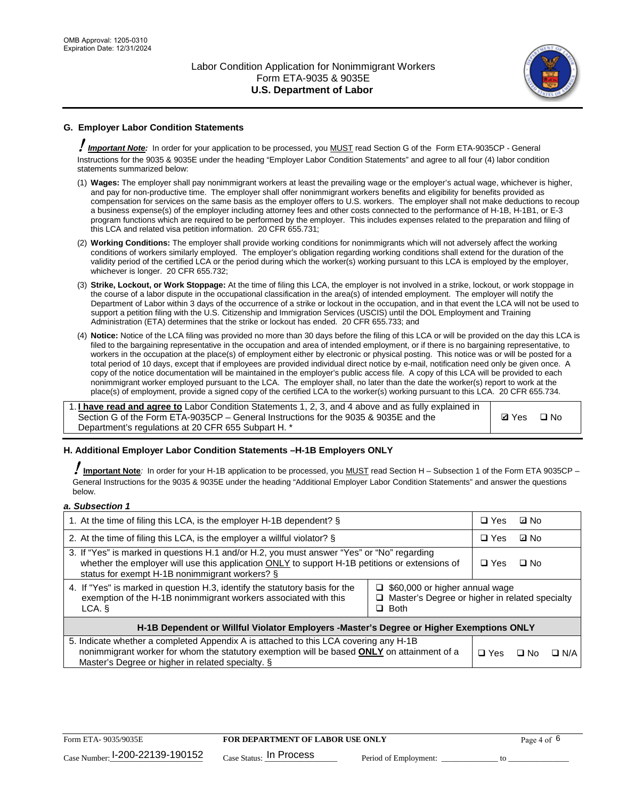

## **G. Employer Labor Condition Statements**

! *Important Note:* In order for your application to be processed, you MUST read Section G of the Form ETA-9035CP - General Instructions for the 9035 & 9035E under the heading "Employer Labor Condition Statements" and agree to all four (4) labor condition statements summarized below:

- (1) **Wages:** The employer shall pay nonimmigrant workers at least the prevailing wage or the employer's actual wage, whichever is higher, and pay for non-productive time. The employer shall offer nonimmigrant workers benefits and eligibility for benefits provided as compensation for services on the same basis as the employer offers to U.S. workers. The employer shall not make deductions to recoup a business expense(s) of the employer including attorney fees and other costs connected to the performance of H-1B, H-1B1, or E-3 program functions which are required to be performed by the employer. This includes expenses related to the preparation and filing of this LCA and related visa petition information. 20 CFR 655.731;
- (2) **Working Conditions:** The employer shall provide working conditions for nonimmigrants which will not adversely affect the working conditions of workers similarly employed. The employer's obligation regarding working conditions shall extend for the duration of the validity period of the certified LCA or the period during which the worker(s) working pursuant to this LCA is employed by the employer, whichever is longer. 20 CFR 655.732;
- (3) **Strike, Lockout, or Work Stoppage:** At the time of filing this LCA, the employer is not involved in a strike, lockout, or work stoppage in the course of a labor dispute in the occupational classification in the area(s) of intended employment. The employer will notify the Department of Labor within 3 days of the occurrence of a strike or lockout in the occupation, and in that event the LCA will not be used to support a petition filing with the U.S. Citizenship and Immigration Services (USCIS) until the DOL Employment and Training Administration (ETA) determines that the strike or lockout has ended. 20 CFR 655.733; and
- (4) **Notice:** Notice of the LCA filing was provided no more than 30 days before the filing of this LCA or will be provided on the day this LCA is filed to the bargaining representative in the occupation and area of intended employment, or if there is no bargaining representative, to workers in the occupation at the place(s) of employment either by electronic or physical posting. This notice was or will be posted for a total period of 10 days, except that if employees are provided individual direct notice by e-mail, notification need only be given once. A copy of the notice documentation will be maintained in the employer's public access file. A copy of this LCA will be provided to each nonimmigrant worker employed pursuant to the LCA. The employer shall, no later than the date the worker(s) report to work at the place(s) of employment, provide a signed copy of the certified LCA to the worker(s) working pursuant to this LCA. 20 CFR 655.734.

1. **I have read and agree to** Labor Condition Statements 1, 2, 3, and 4 above and as fully explained in Section G of the Form ETA-9035CP – General Instructions for the 9035 & 9035E and the Department's regulations at 20 CFR 655 Subpart H. \*

**Ø**Yes ロNo

#### **H. Additional Employer Labor Condition Statements –H-1B Employers ONLY**

!**Important Note***:* In order for your H-1B application to be processed, you MUST read Section H – Subsection 1 of the Form ETA 9035CP – General Instructions for the 9035 & 9035E under the heading "Additional Employer Labor Condition Statements" and answer the questions below.

#### *a. Subsection 1*

| 1. At the time of filing this LCA, is the employer H-1B dependent? §                                                                                                                                                                                                 |            |      | ⊡ No       |  |
|----------------------------------------------------------------------------------------------------------------------------------------------------------------------------------------------------------------------------------------------------------------------|------------|------|------------|--|
| 2. At the time of filing this LCA, is the employer a willful violator? $\S$                                                                                                                                                                                          |            |      | ⊡ No       |  |
| 3. If "Yes" is marked in questions H.1 and/or H.2, you must answer "Yes" or "No" regarding<br>whether the employer will use this application ONLY to support H-1B petitions or extensions of<br>status for exempt H-1B nonimmigrant workers? §                       |            |      | ∩ No       |  |
| 4. If "Yes" is marked in question H.3, identify the statutory basis for the<br>$\Box$ \$60,000 or higher annual wage<br>exemption of the H-1B nonimmigrant workers associated with this<br>□ Master's Degree or higher in related specialty<br>$\Box$ Both<br>LCA. § |            |      |            |  |
| H-1B Dependent or Willful Violator Employers -Master's Degree or Higher Exemptions ONLY                                                                                                                                                                              |            |      |            |  |
| 5. Indicate whether a completed Appendix A is attached to this LCA covering any H-1B<br>nonimmigrant worker for whom the statutory exemption will be based <b>ONLY</b> on attainment of a<br>Master's Degree or higher in related specialty. §                       | $\Box$ Yes | ⊡ No | $\Box$ N/A |  |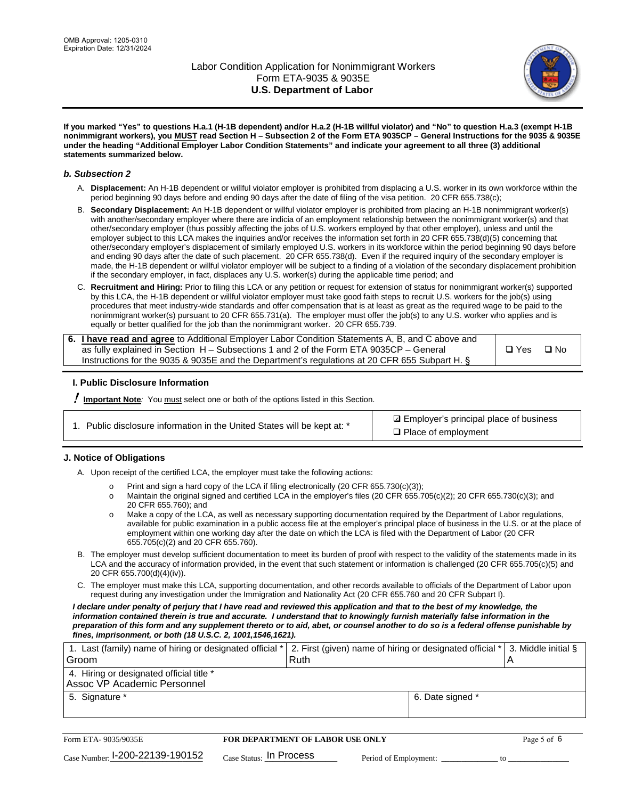

**If you marked "Yes" to questions H.a.1 (H-1B dependent) and/or H.a.2 (H-1B willful violator) and "No" to question H.a.3 (exempt H-1B nonimmigrant workers), you MUST read Section H – Subsection 2 of the Form ETA 9035CP – General Instructions for the 9035 & 9035E under the heading "Additional Employer Labor Condition Statements" and indicate your agreement to all three (3) additional statements summarized below.**

#### *b. Subsection 2*

- A. **Displacement:** An H-1B dependent or willful violator employer is prohibited from displacing a U.S. worker in its own workforce within the period beginning 90 days before and ending 90 days after the date of filing of the visa petition. 20 CFR 655.738(c);
- B. **Secondary Displacement:** An H-1B dependent or willful violator employer is prohibited from placing an H-1B nonimmigrant worker(s) with another/secondary employer where there are indicia of an employment relationship between the nonimmigrant worker(s) and that other/secondary employer (thus possibly affecting the jobs of U.S. workers employed by that other employer), unless and until the employer subject to this LCA makes the inquiries and/or receives the information set forth in 20 CFR 655.738(d)(5) concerning that other/secondary employer's displacement of similarly employed U.S. workers in its workforce within the period beginning 90 days before and ending 90 days after the date of such placement. 20 CFR 655.738(d). Even if the required inquiry of the secondary employer is made, the H-1B dependent or willful violator employer will be subject to a finding of a violation of the secondary displacement prohibition if the secondary employer, in fact, displaces any U.S. worker(s) during the applicable time period; and
- C. **Recruitment and Hiring:** Prior to filing this LCA or any petition or request for extension of status for nonimmigrant worker(s) supported by this LCA, the H-1B dependent or willful violator employer must take good faith steps to recruit U.S. workers for the job(s) using procedures that meet industry-wide standards and offer compensation that is at least as great as the required wage to be paid to the nonimmigrant worker(s) pursuant to 20 CFR 655.731(a). The employer must offer the job(s) to any U.S. worker who applies and is equally or better qualified for the job than the nonimmigrant worker. 20 CFR 655.739.

| 6. I have read and agree to Additional Employer Labor Condition Statements A, B, and C above and |       |           |
|--------------------------------------------------------------------------------------------------|-------|-----------|
| as fully explained in Section H – Subsections 1 and 2 of the Form ETA 9035CP – General           | □ Yes | $\Box$ No |
| Instructions for the 9035 & 9035 E and the Department's regulations at 20 CFR 655 Subpart H. §   |       |           |

#### **I. Public Disclosure Information**

! **Important Note***:* You must select one or both of the options listed in this Section.

| 1. Public disclosure information in the United States will be kept at: * |  |  |  |  |  |  |  |
|--------------------------------------------------------------------------|--|--|--|--|--|--|--|
|--------------------------------------------------------------------------|--|--|--|--|--|--|--|

**sqrt** Employer's principal place of business □ Place of employment

#### **J. Notice of Obligations**

A. Upon receipt of the certified LCA, the employer must take the following actions:

- o Print and sign a hard copy of the LCA if filing electronically (20 CFR 655.730(c)(3));<br>
Maintain the original signed and certified LCA in the employer's files (20 CFR 655.7
- Maintain the original signed and certified LCA in the employer's files (20 CFR 655.705(c)(2); 20 CFR 655.730(c)(3); and 20 CFR 655.760); and
- o Make a copy of the LCA, as well as necessary supporting documentation required by the Department of Labor regulations, available for public examination in a public access file at the employer's principal place of business in the U.S. or at the place of employment within one working day after the date on which the LCA is filed with the Department of Labor (20 CFR 655.705(c)(2) and 20 CFR 655.760).
- B. The employer must develop sufficient documentation to meet its burden of proof with respect to the validity of the statements made in its LCA and the accuracy of information provided, in the event that such statement or information is challenged (20 CFR 655.705(c)(5) and 20 CFR 655.700(d)(4)(iv)).
- C. The employer must make this LCA, supporting documentation, and other records available to officials of the Department of Labor upon request during any investigation under the Immigration and Nationality Act (20 CFR 655.760 and 20 CFR Subpart I).

*I declare under penalty of perjury that I have read and reviewed this application and that to the best of my knowledge, the*  information contained therein is true and accurate. I understand that to knowingly furnish materially false information in the *preparation of this form and any supplement thereto or to aid, abet, or counsel another to do so is a federal offense punishable by fines, imprisonment, or both (18 U.S.C. 2, 1001,1546,1621).*

| 1. Last (family) name of hiring or designated official * 2. First (given) name of hiring or designated official * 3. Middle initial § |                  |  |
|---------------------------------------------------------------------------------------------------------------------------------------|------------------|--|
| Groom                                                                                                                                 | Ruth             |  |
| 4. Hiring or designated official title *                                                                                              |                  |  |
| Assoc VP Academic Personnel                                                                                                           |                  |  |
| 5. Signature *                                                                                                                        | 6. Date signed * |  |
|                                                                                                                                       |                  |  |